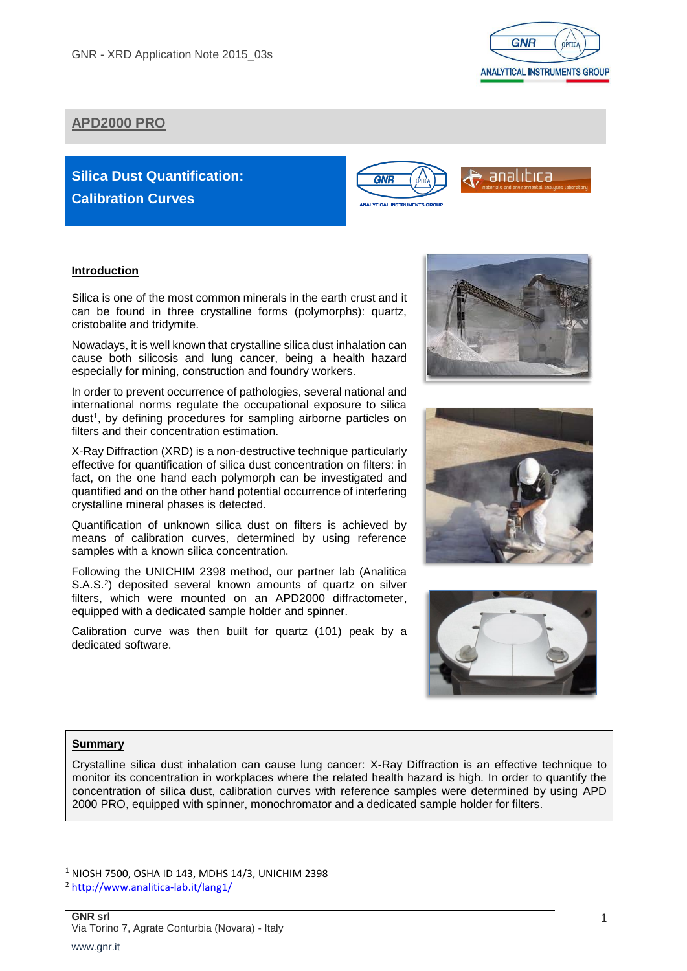

# **APD2000 PRO**

# **Silica Dust Quantification: Calibration Curves**



# analıbıca

#### **Introduction**

Silica is one of the most common minerals in the earth crust and it can be found in three crystalline forms (polymorphs): quartz, cristobalite and tridymite.

Nowadays, it is well known that crystalline silica dust inhalation can cause both silicosis and lung cancer, being a health hazard especially for mining, construction and foundry workers.

In order to prevent occurrence of pathologies, several national and international norms regulate the occupational exposure to silica dust<sup>1</sup>, by defining procedures for sampling airborne particles on filters and their concentration estimation.

X-Ray Diffraction (XRD) is a non-destructive technique particularly effective for quantification of silica dust concentration on filters: in fact, on the one hand each polymorph can be investigated and quantified and on the other hand potential occurrence of interfering crystalline mineral phases is detected.

Quantification of unknown silica dust on filters is achieved by means of calibration curves, determined by using reference samples with a known silica concentration.

Following the UNICHIM 2398 method, our partner lab (Analitica S.A.S.<sup>2</sup>) deposited several known amounts of quartz on silver filters, which were mounted on an APD2000 diffractometer, equipped with a dedicated sample holder and spinner.

Calibration curve was then built for quartz (101) peak by a dedicated software.







# **Summary**

**.** 

Crystalline silica dust inhalation can cause lung cancer: X-Ray Diffraction is an effective technique to monitor its concentration in workplaces where the related health hazard is high. In order to quantify the concentration of silica dust, calibration curves with reference samples were determined by using APD 2000 PRO, equipped with spinner, monochromator and a dedicated sample holder for filters.

<sup>1</sup> NIOSH 7500, OSHA ID 143, MDHS 14/3, UNICHIM 2398

<sup>2</sup> <http://www.analitica-lab.it/lang1/>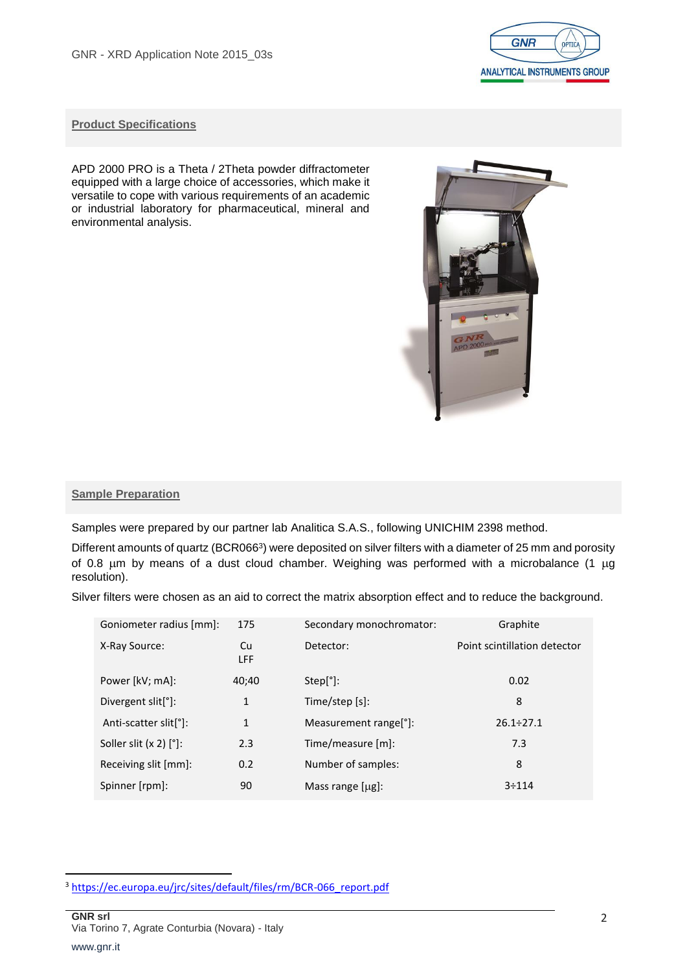

# **Product Specifications**

APD 2000 PRO is a Theta / 2Theta powder diffractometer equipped with a large choice of accessories, which make it versatile to cope with various requirements of an academic or industrial laboratory for pharmaceutical, mineral and environmental analysis.



#### **Sample Preparation**

Samples were prepared by our partner lab Analitica S.A.S., following UNICHIM 2398 method.

Different amounts of quartz (BCR066<sup>3</sup>) were deposited on silver filters with a diameter of 25 mm and porosity of 0.8  $\mu$ m by means of a dust cloud chamber. Weighing was performed with a microbalance (1  $\mu$ g resolution).

Silver filters were chosen as an aid to correct the matrix absorption effect and to reduce the background.

| Goniometer radius [mm]:            | 175          | Secondary monochromator:           | Graphite                     |
|------------------------------------|--------------|------------------------------------|------------------------------|
| X-Ray Source:                      | Cu<br>LFF    | Detector:                          | Point scintillation detector |
| Power [kV; mA]:                    | 40;40        | Step[°]:                           | 0.02                         |
| Divergent slit <sup>[°</sup> ]:    | 1            | Time/step [s]:                     | 8                            |
| Anti-scatter slit <sup>[°</sup> ]: | $\mathbf{1}$ | Measurement range <sup>[°]</sup> : | $26.1 \div 27.1$             |
| Soller slit $(x 2)$ $[°]$ :        | 2.3          | Time/measure [m]:                  | 7.3                          |
| Receiving slit [mm]:               | 0.2          | Number of samples:                 | 8                            |
| Spinner [rpm]:                     | 90           | Mass range $[\mu g]$ :             | 3:114                        |

 $\overline{a}$ 

<sup>&</sup>lt;sup>3</sup> [https://ec.europa.eu/jrc/sites/default/files/rm/BCR-066\\_report.pdf](https://ec.europa.eu/jrc/sites/default/files/rm/BCR-066_report.pdf)